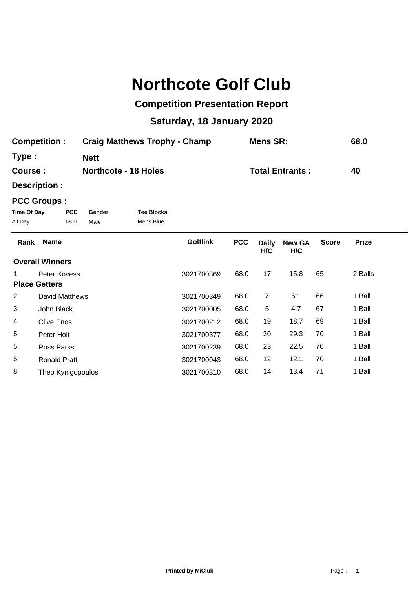## **Northcote Golf Club**

## **Competition Presentation Report**

## **Saturday, 18 January 2020**

| <b>Competition:</b> | <b>Craig Matthews Trophy - Champ</b> | Mens SR:               | 68.0 |
|---------------------|--------------------------------------|------------------------|------|
| Type:               | <b>Nett</b>                          |                        |      |
| Course :            | <b>Northcote - 18 Holes</b>          | <b>Total Entrants:</b> | 40   |

**Description :**

## **PCC Groups :**

| Time Of Day | <b>PCC</b> | Gender | <b>Tee Blocks</b> |
|-------------|------------|--------|-------------------|
| All Day     | 68.0       | Male   | Mens Blue         |

| Rank | <b>Name</b>            | <b>Golflink</b> | <b>PCC</b> | <b>Daily</b><br>H/C | <b>New GA</b><br>H/C | <b>Score</b> | <b>Prize</b> |  |
|------|------------------------|-----------------|------------|---------------------|----------------------|--------------|--------------|--|
|      | <b>Overall Winners</b> |                 |            |                     |                      |              |              |  |
|      | Peter Kovess           | 3021700369      | 68.0       | 17                  | 15.8                 | 65           | 2 Balls      |  |
|      | <b>Place Getters</b>   |                 |            |                     |                      |              |              |  |
| 2    | David Matthews         | 3021700349      | 68.0       | $\overline{7}$      | 6.1                  | 66           | 1 Ball       |  |
| 3    | John Black             | 3021700005      | 68.0       | 5                   | 4.7                  | 67           | 1 Ball       |  |
| 4    | Clive Enos             | 3021700212      | 68.0       | 19                  | 18.7                 | 69           | 1 Ball       |  |
| 5    | Peter Holt             | 3021700377      | 68.0       | 30                  | 29.3                 | 70           | 1 Ball       |  |
| 5    | Ross Parks             | 3021700239      | 68.0       | 23                  | 22.5                 | 70           | 1 Ball       |  |
| 5    | <b>Ronald Pratt</b>    | 3021700043      | 68.0       | 12                  | 12.1                 | 70           | 1 Ball       |  |
| 8    | Theo Kynigopoulos      | 3021700310      | 68.0       | 14                  | 13.4                 | 71           | 1 Ball       |  |